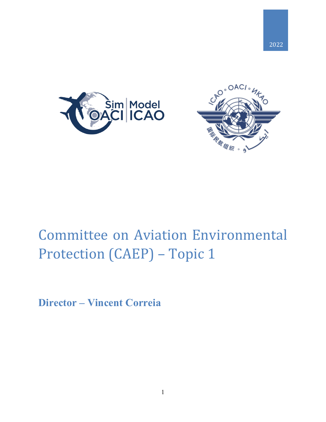



## Committee on Aviation Environmental Protection (CAEP) – Topic 1

**Director – Vincent Correia**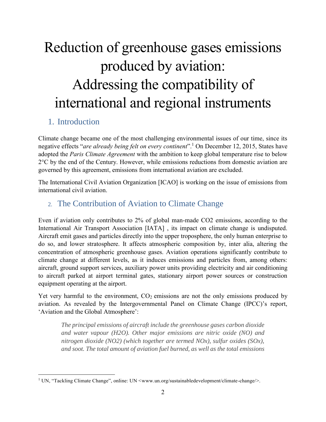# Reduction of greenhouse gases emissions produced by aviation: Addressing the compatibility of international and regional instruments

### 1. Introduction

 $\overline{a}$ 

Climate change became one of the most challenging environmental issues of our time, since its negative effects "*are already being felt on every continent*".<sup>1</sup> On December 12, 2015, States have adopted the *Paris Climate Agreement* with the ambition to keep global temperature rise to below  $2^{\circ}$ C by the end of the Century. However, while emissions reductions from domestic aviation are governed by this agreement, emissions from international aviation are excluded.

The International Civil Aviation Organization [ICAO] is working on the issue of emissions from international civil aviation.

#### 2. The Contribution of Aviation to Climate Change

Even if aviation only contributes to 2% of global man-made CO2 emissions, according to the International Air Transport Association [IATA] , its impact on climate change is undisputed. Aircraft emit gases and particles directly into the upper troposphere, the only human enterprise to do so, and lower stratosphere. It affects atmospheric composition by, inter alia, altering the concentration of atmospheric greenhouse gases. Aviation operations significantly contribute to climate change at different levels, as it induces emissions and particles from, among others: aircraft, ground support services, auxiliary power units providing electricity and air conditioning to aircraft parked at airport terminal gates, stationary airport power sources or construction equipment operating at the airport.

Yet very harmful to the environment,  $CO<sub>2</sub>$  emissions are not the only emissions produced by aviation. As revealed by the Intergovernmental Panel on Climate Change (IPCC)'s report, 'Aviation and the Global Atmosphere':

*The principal emissions of aircraft include the greenhouse gases carbon dioxide and water vapour (H2O). Other major emissions are nitric oxide (NO) and nitrogen dioxide (NO2) (which together are termed NOx), sulfur oxides (SOx), and soot. The total amount of aviation fuel burned, as well as the total emissions* 

<sup>&</sup>lt;sup>1</sup> UN, "Tackling Climate Change", online: UN <[www.un.org/sustainabledevelopment/climate-change/>](http://www.un.org/sustainabledevelopment/climate-change/).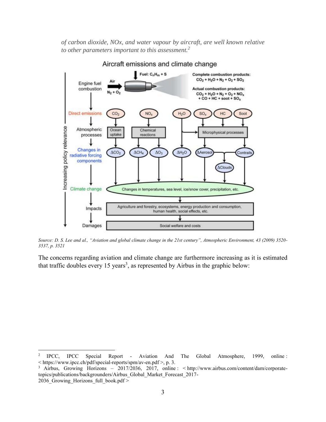*of carbon dioxide, NOx, and water vapour by aircraft, are well known relative to other parameters important to this assessment.<sup>2</sup>*



Aircraft emissions and climate change

*Source: D. S. Lee and al., "Aviation and global climate change in the 21st century", Atmospheric Environment, 43 (2009) 3520- 3537, p. 3521*

The concerns regarding aviation and climate change are furthermore increasing as it is estimated that traffic doubles every 15 years<sup>3</sup>, as represented by Airbus in the graphic below:

 $\overline{a}$ 

<sup>2</sup> IPCC, IPCC Special Report - Aviation And The Global Atmosphere, 1999, online : < <https://www.ipcc.ch/pdf/special-reports/spm/av-en.pdf> >, p. 3.

<sup>&</sup>lt;sup>3</sup> Airbus, Growing Horizons – 2017/2036, 2017, online : < [http://www.airbus.com/content/dam/corporate](http://www.airbus.com/content/dam/corporate-topics/publications/backgrounders/Airbus_Global_Market_Forecast_2017-2036_Growing_Horizons_full_book.pdf)[topics/publications/backgrounders/Airbus\\_Global\\_Market\\_Forecast\\_2017-](http://www.airbus.com/content/dam/corporate-topics/publications/backgrounders/Airbus_Global_Market_Forecast_2017-2036_Growing_Horizons_full_book.pdf) 2036 Growing Horizons full book.pdf >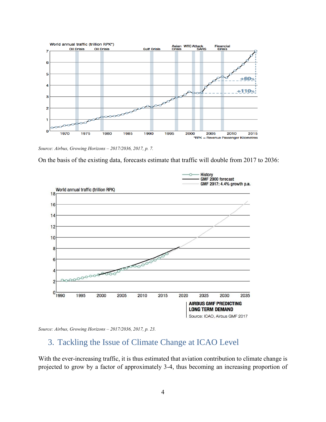

*Source: Airbus, Growing Horizons – 2017/2036, 2017, p. 7.*

On the basis of the existing data, forecasts estimate that traffic will double from 2017 to 2036:





#### 3. Tackling the Issue of Climate Change at ICAO Level

With the ever-increasing traffic, it is thus estimated that aviation contribution to climate change is projected to grow by a factor of approximately 3-4, thus becoming an increasing proportion of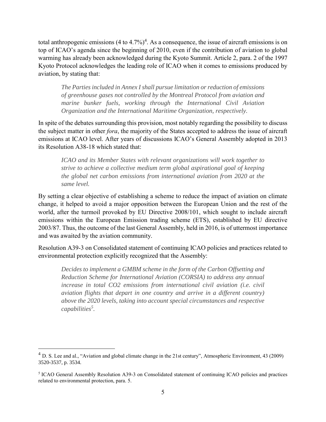total anthropogenic emissions  $(4 \text{ to } 4.7\%)^4$ . As a consequence, the issue of aircraft emissions is on top of ICAO's agenda since the beginning of 2010, even if the contribution of aviation to global warming has already been acknowledged during the Kyoto Summit. Article 2, para. 2 of the 1997 Kyoto Protocol acknowledges the leading role of ICAO when it comes to emissions produced by aviation, by stating that:

*The Parties included in Annex I shall pursue limitation or reduction of emissions of greenhouse gases not controlled by the Montreal Protocol from aviation and marine bunker fuels, working through the International Civil Aviation Organization and the International Maritime Organization, respectively.*

In spite of the debates surrounding this provision, most notably regarding the possibility to discuss the subject matter in other *fora*, the majority of the States accepted to address the issue of aircraft emissions at ICAO level. After years of discussions ICAO's General Assembly adopted in 2013 its Resolution A38-18 which stated that:

*ICAO and its Member States with relevant organizations will work together to strive to achieve a collective medium term global aspirational goal of keeping the global net carbon emissions from international aviation from 2020 at the same level.* 

By setting a clear objective of establishing a scheme to reduce the impact of aviation on climate change, it helped to avoid a major opposition between the European Union and the rest of the world, after the turmoil provoked by EU Directive 2008/101, which sought to include aircraft emissions within the European Emission trading scheme (ETS), established by EU directive 2003/87. Thus, the outcome of the last General Assembly, held in 2016, is of uttermost importance and was awaited by the aviation community.

Resolution A39-3 on Consolidated statement of continuing ICAO policies and practices related to environmental protection explicitly recognized that the Assembly:

*Decides to implement a GMBM scheme in the form of the Carbon Offsetting and Reduction Scheme for International Aviation (CORSIA) to address any annual increase in total CO2 emissions from international civil aviation (i.e. civil aviation flights that depart in one country and arrive in a different country) above the 2020 levels, taking into account special circumstances and respective capabilities<sup>5</sup> .* 

 $\overline{a}$ 

 $4$  D. S. Lee and al., "Aviation and global climate change in the 21st century", Atmospheric Environment, 43 (2009) 3520-3537, p. 3534.

<sup>&</sup>lt;sup>5</sup> ICAO General Assembly Resolution A39-3 on Consolidated statement of continuing ICAO policies and practices related to environmental protection, para. 5.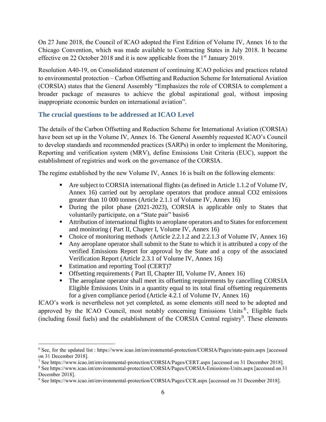On 27 June 2018, the Council of ICAO adopted the First Edition of Volume IV, Annex 16 to the Chicago Convention, which was made available to Contracting States in July 2018. It became effective on 22 October 2018 and it is now applicable from the  $1<sup>st</sup>$  January 2019.

Resolution A40-19, on Consolidated statement of continuing ICAO policies and practices related to environmental protection – Carbon Offsetting and Reduction Scheme for International Aviation (CORSIA) states that the General Assembly "Emphasizes the role of CORSIA to complement a broader package of measures to achieve the global aspirational goal, without imposing inappropriate economic burden on international aviation".

#### **The crucial questions to be addressed at ICAO Level**

The details of the Carbon Offsetting and Reduction Scheme for International Aviation (CORSIA) have been set up in the Volume IV, Annex 16. The General Assembly requested ICAO's Council to develop standards and recommended practices (SARPs) in order to implement the Monitoring, Reporting and verification system (MRV), define Emissions Unit Criteria (EUC), support the establishment of registries and work on the governance of the CORSIA.

The regime established by the new Volume IV, Annex 16 is built on the following elements:

- Are subject to CORSIA international flights (as defined in Article 1.1.2 of Volume IV, Annex 16) carried out by aeroplane operators that produce annual CO2 emissions greater than 10 000 tonnes (Article 2.1.1 of Volume IV, Annex 16)
- During the pilot phase (2021-2023), CORSIA is applicable only to States that voluntarily participate, on a "State pair" basis6
- Attribution of international flights to aeroplane operators and to States for enforcement and monitoring ( Part II, Chapter I, Volume IV, Annex 16)
- Choice of monitoring methods (Article 2.2.1.2 and 2.2.1.3 of Volume IV, Annex 16)
- Any aeroplane operator shall submit to the State to which it is attributed a copy of the verified Emissions Report for approval by the State and a copy of the associated Verification Report (Article 2.3.1 of Volume IV, Annex 16)
- Estimation and reporting Tool (CERT)7

 $\overline{a}$ 

- **Offsetting requirements ( Part II, Chapter III, Volume IV, Annex 16)**
- The aeroplane operator shall meet its offsetting requirements by cancelling CORSIA Eligible Emissions Units in a quantity equal to its total final offsetting requirements for a given compliance period (Article 4.2.1 of Volume IV, Annex 16)

ICAO's work is nevertheless not yet completed, as some elements still need to be adopted and approved by the ICAO Council, most notably concerning Emissions Units<sup>8</sup>, Eligible fuels (including fossil fuels) and the establishment of the CORSIA Central registry<sup>9</sup>. These elements

<sup>6</sup> See, for the updated list :<https://www.icao.int/environmental-protection/CORSIA/Pages/state-pairs.aspx> [accessed on 31 December 2018].

<sup>7</sup> Se[e https://www.icao.int/environmental-protection/CORSIA/Pages/CERT.aspx](https://www.icao.int/environmental-protection/CORSIA/Pages/CERT.aspx) [accessed on 31 December 2018].

<sup>8</sup> Se[e https://www.icao.int/environmental-protection/CORSIA/Pages/CORSIA-Emissions-Units.aspx](https://www.icao.int/environmental-protection/CORSIA/Pages/CORSIA-Emissions-Units.aspx) [accessed on 31 December 2018].

<sup>9</sup> Se[e https://www.icao.int/environmental-protection/CORSIA/Pages/CCR.aspx](https://www.icao.int/environmental-protection/CORSIA/Pages/CCR.aspx) [accessed on 31 December 2018].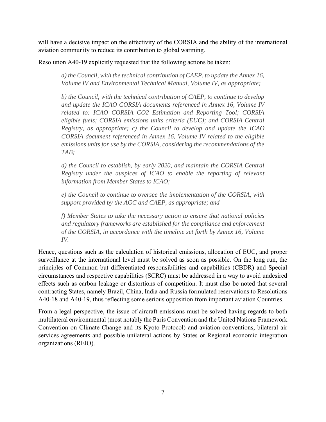will have a decisive impact on the effectivity of the CORSIA and the ability of the international aviation community to reduce its contribution to global warming.

Resolution A40-19 explicitly requested that the following actions be taken:

*a) the Council, with the technical contribution of CAEP, to update the Annex 16, Volume IV and Environmental Technical Manual, Volume IV, as appropriate;* 

*b) the Council, with the technical contribution of CAEP, to continue to develop and update the ICAO CORSIA documents referenced in Annex 16, Volume IV related to: ICAO CORSIA CO2 Estimation and Reporting Tool; CORSIA eligible fuels; CORSIA emissions units criteria (EUC); and CORSIA Central Registry, as appropriate; c) the Council to develop and update the ICAO CORSIA document referenced in Annex 16, Volume IV related to the eligible emissions units for use by the CORSIA, considering the recommendations of the TAB;* 

*d) the Council to establish, by early 2020, and maintain the CORSIA Central Registry under the auspices of ICAO to enable the reporting of relevant information from Member States to ICAO;* 

*e) the Council to continue to oversee the implementation of the CORSIA, with support provided by the AGC and CAEP, as appropriate; and* 

*f) Member States to take the necessary action to ensure that national policies and regulatory frameworks are established for the compliance and enforcement of the CORSIA, in accordance with the timeline set forth by Annex 16, Volume IV.*

Hence, questions such as the calculation of historical emissions, allocation of EUC, and proper surveillance at the international level must be solved as soon as possible. On the long run, the principles of Common but differentiated responsibilities and capabilities (CBDR) and Special circumstances and respective capabilities (SCRC) must be addressed in a way to avoid undesired effects such as carbon leakage or distortions of competition. It must also be noted that several contracting States, namely Brazil, China, India and Russia formulated reservations to Resolutions A40-18 and A40-19, thus reflecting some serious opposition from important aviation Countries.

From a legal perspective, the issue of aircraft emissions must be solved having regards to both multilateral environmental (most notably the Paris Convention and the United Nations Framework Convention on Climate Change and its Kyoto Protocol) and aviation conventions, bilateral air services agreements and possible unilateral actions by States or Regional economic integration organizations (REIO).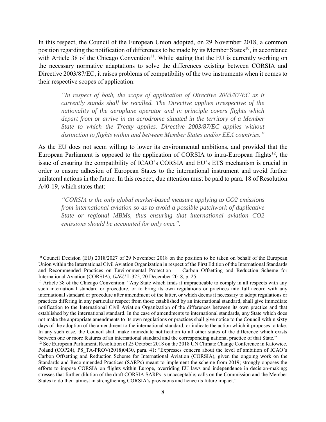In this respect, the Council of the European Union adopted, on 29 November 2018, a common position regarding the notification of differences to be made by its Member States<sup>10</sup>, in accordance with Article 38 of the Chicago Convention<sup>11</sup>. While stating that the EU is currently working on the necessary normative adaptations to solve the differences existing between CORSIA and Directive 2003/87/EC, it raises problems of compatibility of the two instruments when it comes to their respective scopes of application:

*"In respect of both, the scope of application of Directive 2003/87/EC as it currently stands shall be recalled. The Directive applies irrespective of the nationality of the aeroplane operator and in principle covers flights which depart from or arrive in an aerodrome situated in the territory of a Member State to which the Treaty applies. Directive 2003/87/EC applies without distinction to flights within and between Member States and/or EEA countries."*

As the EU does not seem willing to lower its environmental ambitions, and provided that the European Parliament is opposed to the application of CORSIA to intra-European flights<sup>12</sup>, the issue of ensuring the compatibility of ICAO's CORSIA and EU's ETS mechanism is crucial in order to ensure adhesion of European States to the international instrument and avoid further unilateral actions in the future. In this respect, due attention must be paid to para. 18 of Resolution A40-19, which states that:

*"CORSIA is the only global market-based measure applying to CO2 emissions from international aviation so as to avoid a possible patchwork of duplicative State or regional MBMs, thus ensuring that international aviation CO2 emissions should be accounted for only once".*

 $\overline{a}$ 

<sup>&</sup>lt;sup>10</sup> Council Decision (EU) 2018/2027 of 29 November 2018 on the position to be taken on behalf of the European Union within the International Civil Aviation Organization in respect of the First Edition of the International Standards and Recommended Practices on Environmental Protection — Carbon Offsetting and Reduction Scheme for International Aviation (CORSIA), *OJEU* L 325, 20 December 2018, p. 25.

 $11$  Article 38 of the Chicago Convention: "Any State which finds it impracticable to comply in all respects with any such international standard or procedure, or to bring its own regulations or practices into full accord with any international standard or procedure after amendment of the latter, or which deems it necessary to adopt regulations or practices differing in any particular respect from those established by an international standard, shall give immediate notification to the International Civil Aviation Organization of the differences between its own practice and that established by the international standard. In the case of amendments to international standards, any State which does not make the appropriate amendments to its own regulations or practices shall give notice to the Council within sixty days of the adoption of the amendment to the international standard, or indicate the action which it proposes to take. In any such case, the Council shall make immediate notification to all other states of the difference which exists between one or more features of an international standard and the corresponding national practice of that State."

<sup>&</sup>lt;sup>12</sup> See European Parliament, Resolution of 25 October 2018 on the 2018 UN Climate Change Conference in Katowice, Poland (COP24), P8\_TA-PROV(2018)0430, para. 41: "Expresses concern about the level of ambition of ICAO's Carbon Offsetting and Reduction Scheme for International Aviation (CORSIA), given the ongoing work on the Standards and Recommended Practices (SARPs) meant to implement the scheme from 2019; strongly opposes the efforts to impose CORSIA on flights within Europe, overriding EU laws and independence in decision-making; stresses that further dilution of the draft CORSIA SARPs is unacceptable; calls on the Commission and the Member States to do their utmost in strengthening CORSIA's provisions and hence its future impact."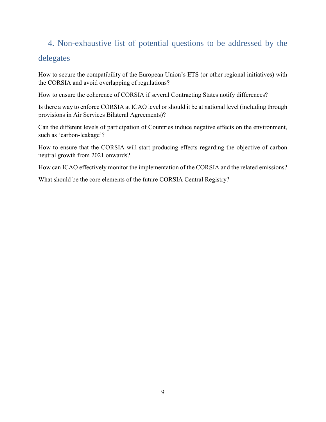### 4. Non-exhaustive list of potential questions to be addressed by the delegates

How to secure the compatibility of the European Union's ETS (or other regional initiatives) with the CORSIA and avoid overlapping of regulations?

How to ensure the coherence of CORSIA if several Contracting States notify differences?

Is there a way to enforce CORSIA at ICAO level or should it be at national level (including through provisions in Air Services Bilateral Agreements)?

Can the different levels of participation of Countries induce negative effects on the environment, such as 'carbon-leakage'?

How to ensure that the CORSIA will start producing effects regarding the objective of carbon neutral growth from 2021 onwards?

How can ICAO effectively monitor the implementation of the CORSIA and the related emissions?

What should be the core elements of the future CORSIA Central Registry?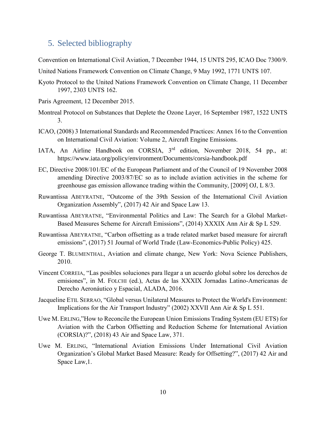#### 5. Selected bibliography

Convention on International Civil Aviation, 7 December 1944, 15 UNTS 295, ICAO Doc 7300/9.

United Nations Framework Convention on Climate Change, 9 May 1992, 1771 UNTS 107.

- Kyoto Protocol to the United Nations Framework Convention on Climate Change, 11 December 1997, 2303 UNTS 162.
- Paris Agreement, 12 December 2015.
- Montreal Protocol on Substances that Deplete the Ozone Layer, 16 September 1987, 1522 UNTS 3.
- ICAO, (2008) 3 International Standards and Recommended Practices: Annex 16 to the Convention on International Civil Aviation: Volume 2, Aircraft Engine Emissions.
- IATA, An Airline Handbook on CORSIA, 3rd edition, November 2018, 54 pp., at: <https://www.iata.org/policy/environment/Documents/corsia-handbook.pdf>
- EC, Directive 2008/101/EC of the European Parliament and of the Council of 19 November 2008 amending Directive 2003/87/EC so as to include aviation activities in the scheme for greenhouse gas emission allowance trading within the Community, [2009] OJ, L 8/3.
- Ruwantissa ABEYRATNE, "Outcome of the 39th Session of the International Civil Aviation Organization Assembly", (2017) 42 Air and Space Law 13.
- Ruwantissa ABEYRATNE, "Environmental Politics and Law: The Search for a Global Market-Based Measures Scheme for Aircraft Emissions", (2014) XXXIX Ann Air & Sp L 529.
- Ruwantissa ABEYRATNE, "Carbon offsetting as a trade related market based measure for aircraft emissions", (2017) 51 Journal of World Trade (Law-Economics-Public Policy) 425.
- George T. BLUMENTHAL, Aviation and climate change, New York: Nova Science Publishers, 2010.
- Vincent CORREIA, "Las posibles soluciones para llegar a un acuerdo global sobre los derechos de emisiones", in M. FOLCHI (ed.), Actas de las XXXIX Jornadas Latino-Americanas de Derecho Aeronáutico y Espacial, ALADA, 2016.
- Jacqueline ETIL SERRAO, "Global versus Unilateral Measures to Protect the World's Environment: Implications for the Air Transport Industry" (2002) XXVII Ann Air & Sp L 551.
- Uwe M. ERLING,"How to Reconcile the European Union Emissions Trading System (EU ETS) for Aviation with the Carbon Offsetting and Reduction Scheme for International Aviation (CORSIA)?", (2018) 43 Air and Space Law, 371.
- Uwe M. ERLING, "International Aviation Emissions Under International Civil Aviation Organization's Global Market Based Measure: Ready for Offsetting?", (2017) 42 Air and Space Law,1.